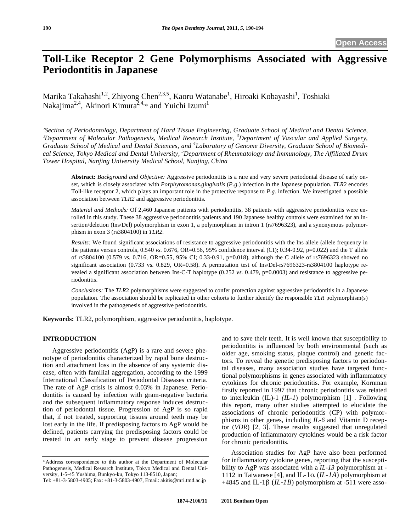# **Toll-Like Receptor 2 Gene Polymorphisms Associated with Aggressive Periodontitis in Japanese**

Marika Takahashi<sup>1,2</sup>, Zhiyong Chen<sup>2,3,5</sup>, Kaoru Watanabe<sup>1</sup>, Hiroaki Kobayashi<sup>1</sup>, Toshiaki Nakajima<sup>2,4</sup>, Akinori Kimura<sup>2,4,\*</sup> and Yuichi Izumi<sup>1</sup>

*Section of Periodontology, Department of Hard Tissue Engineering, Graduate School of Medical and Dental Science,* <sup>2</sup>Department of Molecular Pathogenesis, Medical Research Institute, <sup>3</sup>Department of Vascular and Applied Surgery, *Graduate School of Medical and Dental Sciences, and <sup>4</sup> Laboratory of Genome Diversity, Graduate School of Biomedical Science, Tokyo Medical and Dental University, <sup>5</sup> Department of Rheumatology and Immunology, The Affiliated Drum Tower Hospital, Nanjing University Medical School, Nanjing, China* 

**Abstract:** *Background and Objective:* Aggressive periodontitis is a rare and very severe periodontal disease of early onset, which is closely associated with *Porphyromonas.gingivalis* (*P.g.*) infection in the Japanese population. *TLR2* encodes Toll-like receptor 2, which plays an important role in the protective response to *P.g.* infection. We investigated a possible association between *TLR2* and aggressive periodontitis.

*Material and Methods:* Of 2,460 Japanese patients with periodontitis, 38 patients with aggressive periodontitis were enrolled in this study. These 38 aggressive periodontitis patients and 190 Japanese healthy controls were examined for an insertion/deletion (Ins/Del) polymorphism in exon 1, a polymorphism in intron 1 (rs7696323), and a synonymous polymorphism in exon 3 (rs3804100) in *TLR2*.

*Results:* We found significant associations of resistance to aggressive periodontitis with the Ins allele (allele frequency in the patients versus controls,  $0.540$  *vs.*  $0.676$ ,  $OR=0.56$ ,  $95%$  confidence interval (CI);  $0.34$ -0.92,  $p=0.022$ ) and the T allele of rs3804100 (0.579 *vs.* 0.716, OR=0.55, 95% CI; 0.33-0.91, p=0.018), although the C allele of rs7696323 showed no significant association (0.733 vs. 0.829, OR=0.58). A permutation test of Ins/Del-rs7696323-rs3804100 haplotype revealed a significant association between Ins-C-T haplotype (0.252 *vs.* 0.479, p=0.0003) and resistance to aggressive periodontitis.

*Conclusions:* The *TLR*2 polymorphisms were suggested to confer protection against aggressive periodontitis in a Japanese population. The association should be replicated in other cohorts to further identify the responsible *TLR* polymorphism(s) involved in the pathogenesis of aggressive periodontitis.

**Keywords:** TLR2, polymorphism, aggressive periodontitis, haplotype.

#### **INTRODUCTION**

Aggressive periodontitis (AgP) is a rare and severe phenotype of periodontitis characterized by rapid bone destruction and attachment loss in the absence of any systemic disease, often with familial aggregation, according to the 1999 International Classification of Periodontal Diseases criteria. The rate of AgP crisis is almost 0.03% in Japanese. Periodontitis is caused by infection with gram-negative bacteria and the subsequent inflammatory response induces destruction of periodontal tissue. Progression of AgP is so rapid that, if not treated, supporting tissues around teeth may be lost early in the life. If predisposing factors to AgP would be defined, patients carrying the predisposing factors could be treated in an early stage to prevent disease progression and to save their teeth. It is well known that susceptibility to periodontitis is influenced by both environmental (such as older age, smoking status, plaque control) and genetic factors. To reveal the genetic predisposing factors to periodontal diseases, many association studies have targeted functional polymorphisms in genes associated with inflammatory cytokines for chronic periodontitis. For example, Kornman firstly reported in 1997 that chronic periodontitis was related to interleukin (IL)-1 *(IL-1*) polymorphism [1] . Following this report, many other studies attempted to elucidate the associations of chronic periodontitis (CP) with polymorphisms in other genes, including *IL-6* and Vitamin D receptor (*VDR*) [2, 3]. These results suggested that unregulated production of inflammatory cytokines would be a risk factor for chronic periodontitis.

Association studies for AgP have also been performed for inflammatory cytokine genes, reporting that the susceptibility to AgP was associated with a *IL-13* polymorphism at - 1112 in Taiwanese [4], and IL-1 $\alpha$  (*IL-1A*) polymorphism at  $+4845$  and IL-1 $\beta$  (*IL-1B*) polymorphism at -511 were asso-

<sup>\*</sup>Address correspondence to this author at the Department of Molecular Pathogenesis, Medical Research Institute, Tokyo Medical and Dental University, 1-5-45 Yushima, Bunkyo-ku, Tokyo 113-8510, Japan;

Tel: +81-3-5803-4905; Fax: +81-3-5803-4907, Email: akitis@mri.tmd.ac.jp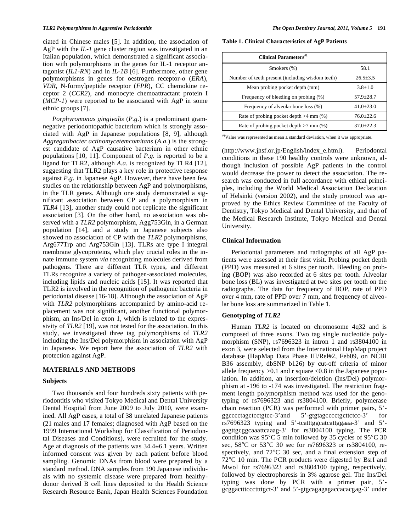ciated in Chinese males [5]. In addition, the association of AgP with the *IL-1* gene cluster region was investigated in an Italian population, which demonstrated a significant association with polymorphisms in the genes for IL-1 receptor antagonist (*IL1-RN*) and in *IL-1B* [6]. Furthermore, other gene polymorphisms in genes for oestrogen receptor- $\alpha$  (*ERA*), *VDR*, N-formylpeptide receptor (*FPR*), CC chemokine receptor 2 (*CCR2*), and monocyte chemoattractant protein I (*MCP-1*) were reported to be associated with AgP in some ethnic groups [7].

*Porphyromonas gingivalis* (*P.g.*) is a predominant gramnegative periodontopathic bacterium which is strongly associated with AgP in Japanese populations [8, 9], although *Aggregatibacter actinomycetemcomitans* (*A.a.*) is the strongest candidate of AgP causative bacterium in other ethnic populations [10, 11]. Component of *P.g.* is reported to be a ligand for TLR2, although *A.a.* is recognized by TLR4 [12], suggesting that TLR2 plays a key role in protective response against *P.g.* in Japanese AgP. However, there have been few studies on the relationship between AgP and polymorphisms, in the TLR genes. Although one study demonstrated a significant association between CP and a polymorphism in *TLR4* [13], another study could not replicate the significant association [3]. On the other hand, no association was observed with a *TLR2* polymorphism, Agg753Gln, in a German population [14], and a study in Japanese subjects also showed no association of CP with the *TLR2* polymorphisms, Arg677Trp and Arg753Gln [13]. TLRs are type I integral membrane glycoproteins, which play crucial roles in the innate immune system *via* recognizing molecules derived from pathogens. There are different TLR types, and different TLRs recognize a variety of pathogen-associated molecules, including lipids and nucleic acids [15]. It was reported that TLR2 is involved in the recognition of pathogenic bacteria in periodontal disease [16-18]. Although the association of AgP with *TLR2* polymorphisms accompanied by amino-acid replacement was not significant, another functional polymorphism, an Ins/Del in exon 1, which is related to the expressivity of *TLR2* [19], was not tested for the association. In this study, we investigated three tag polymorphisms of *TLR2* including the Ins/Del polymorphism in association with AgP in Japanese. We report here the association of *TLR2* with protection against AgP.

## **MATERIALS AND METHODS**

## **Subjects**

Two thousands and four hundreds sixty patients with periodontitis who visited Tokyo Medical and Dental University Dental Hospital from June 2009 to July 2010, were examined. All AgP cases, a total of 38 unrelated Japanese patients (21 males and 17 females; diagnosed with AgP based on the 1999 International Workshop for Classification of Periodontal Diseases and Conditions), were recruited for the study. Age at diagnosis of the patients was 34.4±6.1 years. Written informed consent was given by each patient before blood sampling. Genomic DNAs from blood were prepared by a standard method. DNA samples from 190 Japanese individuals with no systemic disease were prepared from healthydonor derived B cell lines deposited to the Health Science Research Resource Bank, Japan Health Sciences Foundation

**Table 1. Clinical Characteristics of AgP Patients** 

| <b>Clinical Parameters</b> <sup>#1</sup>         |               |  |  |
|--------------------------------------------------|---------------|--|--|
| Smokers (%)                                      | 58.1          |  |  |
| Number of teeth present (including wisdom teeth) | $26.5 + 3.5$  |  |  |
| Mean probing pocket depth (mm)                   | $3.8 + 1.0$   |  |  |
| Frequency of bleeding on probing (%)             | $57.9 + 28.7$ |  |  |
| Frequency of alveolar bone loss (%)              | $41.0 + 23.0$ |  |  |
| Rate of probing pocket depth $>4$ mm $(\%)$      | $76.0 + 22.6$ |  |  |
| Rate of probing pocket depth $>7$ mm $(\%)$      | $37.0 + 22.3$ |  |  |

 $*$ <sup>1</sup>Value was represented as mean  $\pm$  standard deviation, when it was appropriate.

(http://www.jhsf.or.jp/English/index\_e.html). Periodontal conditions in these 190 healthy controls were unknown, although inclusion of possible AgP patients in the control would decrease the power to detect the association. The research was conducted in full accordance with ethical principles, including the World Medical Association Declaration of Helsinki (version 2002), and the study protocol was approved by the Ethics Review Committee of the Faculty of Dentistry, Tokyo Medical and Dental University, and that of the Medical Research Institute, Tokyo Medical and Dental University.

#### **Clinical Information**

Periodontal parameters and radiographs of all AgP patients were assessed at their first visit. Probing pocket depth (PPD) was measured at 6 sites per tooth. Bleeding on probing (BOP) was also recorded at 6 sites per tooth. Alveolar bone loss (BL) was investigated at two sites per tooth on the radiographs. The data for frequency of BOP, rate of PPD over 4 mm, rate of PPD over 7 mm, and frequency of alveolar bone loss are summarized in Table **1**.

#### **Genotyping of** *TLR2*

Human *TLR2* is located on chromosome 4q32 and is composed of three exons. Two tag single nucleotide polymorphism (SNP), rs7696323 in intron 1 and rs3804100 in exon 3, were selected from the International HapMap project database (HapMap Data Phase III/Rel#2, Feb09, on NCBI B36 assembly, dbSNP b126) by cut-off criteria of minor allele frequency  $>0.1$  and r square  $< 0.8$  in the Japanese population. In addition, an insertion/deletion (Ins/Del) polymorphism at -196 to -174 was investigated. The restriction fragment length polymorphism method was used for the genotyping of rs7696323 and rs3804100. Briefly, polymerase chain reaction (PCR) was performed with primer pairs, 5' ggcccctagctcctgtcc-3'and 5'-gtgtagcccctgcttctcc-3' for rs7696323 typing and 5'-tcatttggcatcattggaaa-3' and 5' gagttgcggcaaattcaaag-3' for rs3804100 typing. The PCR condition was 95°C 5 min followed by 35 cycles of 95°C 30 sec, 58°C or 53°C 30 sec for rs7696323 or rs3804100, respectively, and 72°C 30 sec, and a final extension step of 72°C 10 min. The PCR products were digested by BsrI and MwoI for rs7696323 and rs3804100 typing, respectively, followed by electrophoresis in 3% agarose gel. The Ins/Del typing was done by PCR with a primer pair, 5' gcggactttcccttttgct-3' and 5'-gtgcagagagaccacacgag-3' under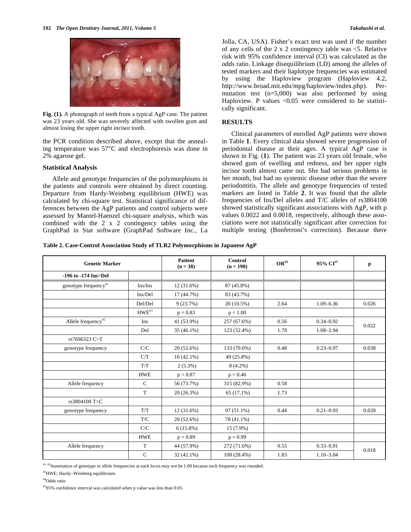

**Fig. (1).** A photograph of teeth from a typical AgP case. The patient was 23 years old. She was severely affected with swollen gum and almost losing the upper right incisor tooth.

the PCR condition described above, except that the annealing temperature was 57°C and electrophoresis was done in 2% agarose gel.

## **Statistical Analysis**

Allele and genotype frequencies of the polymorphisms in the patients and controls were obtained by direct counting. Departure from Hardy-Weinberg equilibrium (HWE) was calculated by chi-square test. Statistical significance of differences between the AgP patients and control subjects were assessed by Mantel-Haenzel chi-square analysis, which was combined with the 2 x 2 contingency tables using the GraphPad in Stat software (GraphPad Software Inc., La Jolla, CA, USA). Fisher's exact test was used if the number of any cells of the  $2 \times 2$  contingency table was  $\leq 5$ . Relative risk with 95% confidence interval (CI) was calculated as the odds ratio. Linkage disequilibrium (LD) among the alleles of tested markers and their haplotype frequencies was estimated by using the Haploview program (Haploview 4.2, http://www.broad.mit.edu/mpg/haploview/index.php). Permutation test  $(n=5,000)$  was also performed by using Haploview. P values  $\langle 0.05 \rangle$  were considered to be statistically significant.

## **RESULTS**

Clinical parameters of enrolled AgP patients were shown in Table **1**. Every clinical data showed severe progression of periodontal disease at their ages. A typical AgP case is shown in Fig. (**1**). The patient was 23 years old female, who showed gum of swelling and redness, and her upper right incisor tooth almost came out. She had serious problems in her mouth, but had no systemic disease other than the severe periodontitis. The allele and genotype frequencies of tested markers are listed in Table **2**. It was found that the allele frequencies of Ins/Del alleles and T/C alleles of rs3804100 showed statistically significant associations with AgP, with p values 0.0022 and 0.0018, respectively, although these associations were not statistically significant after correction for multiple testing (Bonferroni's correction). Because there

**Table 2. Case-Control Association Study of TLR2 Polymorphisms in Japanese AgP** 

| <b>Genetic Marker</b>            |              | <b>Patient</b><br>$(n = 38)$ | <b>Control</b><br>$(n = 190)$ | $OR^{\#4}$ | 95% CI <sup>#5</sup> | p     |
|----------------------------------|--------------|------------------------------|-------------------------------|------------|----------------------|-------|
| -196 to -174 Ins>Del             |              |                              |                               |            |                      |       |
| genotype frequency <sup>#1</sup> | Ins/Ins      | 12(31.6%)                    | 87 (45.8%)                    |            |                      |       |
|                                  | Ins/Del      | 17 (44.7%)                   | 83 (43.7%)                    |            |                      |       |
|                                  | Del/Del      | 9(23.7%)                     | 20 (10.5%)                    | 2.64       | $1.09 - 6.36$        | 0.026 |
|                                  | $HWE^{#3}$   | $p = 0.83$                   | $p = 1.00$                    |            |                      |       |
| Allele frequency <sup>#2</sup>   | Ins          | 41 (53.9%)                   | 257 (67.6%)                   | 0.56       | $0.34 - 0.92$        |       |
|                                  | Del          | 35 (46.1%)                   | 123 (32.4%)                   | 1.78       | $1.08 - 2.94$        | 0.022 |
| rs7696323 C>T                    |              |                              |                               |            |                      |       |
| genotype frequency               | C/C          | $20(52.6\%)$                 | 133 (70.0%)                   | 0.48       | $0.23 - 0.97$        | 0.038 |
|                                  | C/T          | $16(42.1\%)$                 | 49 (25.8%)                    |            |                      |       |
|                                  | T/T          | $2(5.3\%)$                   | $8(4.2\%)$                    |            |                      |       |
|                                  | <b>HWE</b>   | $p = 0.87$                   | $p = 0.46$                    |            |                      |       |
| Allele frequency                 | $\mathsf{C}$ | 56 (73.7%)                   | 315 (82.9%)                   | 0.58       |                      |       |
|                                  | $\mathbf T$  | 20(26.3%)                    | 65 (17.1%)                    | 1.73       |                      |       |
| rs3804100 T>C                    |              |                              |                               |            |                      |       |
| genotype frequency               | T/T          | 12 (31.6%)                   | $97(51.1\%)$                  | 0.44       | $0.21 - 0.93$        | 0.028 |
|                                  | T/C          | $20(52.6\%)$                 | 78 (41.1%)                    |            |                      |       |
|                                  | C/C          | $6(15.8\%)$                  | 15 (7.9%)                     |            |                      |       |
|                                  | <b>HWE</b>   | $p = 0.89$                   | $p = 0.99$                    |            |                      |       |
| Allele frequency                 | T            | 44 (57.9%)                   | 272 (71.6%)                   | 0.55       | $0.33 - 0.91$        |       |
|                                  | $\mathbf C$  | 32 (42.1%)                   | 108 (28.4%)                   | 1.83       | $1.10 - 3.04$        | 0.018 |

#1, #2Summation of genotype or allele frequencies at each locus may not be 1.00 because each frequency was rounded.

#3HWE; Hardy–Weinberg equilibrium.

#4Odds ratio

#595% confidence interval was calculated when p value was less than 0.05.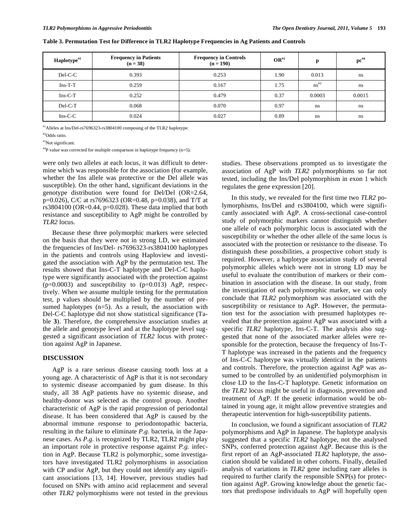| Haplotype <sup>#1</sup> | <b>Frequency in Patients</b><br>$(n = 38)$ | <b>Frequency in Controls</b><br>$(n = 190)$ | $\mathbf{OR}^{H2}$ | p          | $\mathbf{p} \mathbf{c}^{\# 4}$ |
|-------------------------|--------------------------------------------|---------------------------------------------|--------------------|------------|--------------------------------|
| Del-C-C                 | 0.393                                      | 0.253                                       | 1.90               | 0.013      | ns                             |
| $Ins-T-T$               | 0.259                                      | 0.167                                       | 1.75               | $ns^{\#3}$ | ns                             |
| $Ins-C-T$               | 0.252                                      | 0.479                                       | 0.37               | 0.0003     | 0.0015                         |
| $DeI-C-T$               | 0.068                                      | 0.070                                       | 0.97               | ns         | ns                             |
| $Ins-C-C$               | 0.024                                      | 0.027                                       | 0.89               | ns         | ns                             |

**Table 3. Permutation Test for Difference in TLR2 Haplotype Frequencies in Ag Patients and Controls** 

#1Alleles at Ins/Del-rs7696323-rs3804100 composing of the TLR2 haplotype.

#2Odds ratio.

#3Not significant.

 $^{44}P$  value was corrected for multiple comparison in haplotype frequency (n=5).

were only two alleles at each locus, it was difficult to determine which was responsible for the association (for example, whether the Ins allele was protective or the Del allele was susceptible). On the other hand, significant deviations in the genotype distribution were found for Del/Del (OR=2.64, p=0.026), C/C at rs7696323 (OR=0.48, p=0.038), and T/T at rs3804100 (OR=0.44, p=0.028). These data implied that both resistance and susceptibility to AgP might be controlled by *TLR2* locus.

Because these three polymorphic markers were selected on the basis that they were not in strong LD, we estimated the frequencies of Ins/Del- rs7696323-rs3804100 haplotypes in the patients and controls using Haploview and investigated the association with AgP by the permutation test. The results showed that Ins-C-T haplotype and Del-C-C haplotype were significantly associated with the protection against  $(p=0.0003)$  and susceptibility to  $(p=0.013)$  AgP, respectively. When we assume multiple testing for the permutation test, p values should be multiplied by the number of presumed haplotypes (n=5). As a result, the association with Del-C-C haplotype did not show statistical significance (Table **3**). Therefore, the comprehensive association studies at the allele and genotype level and at the haplotype level suggested a significant association of *TLR2* locus with protection against AgP in Japanese.

#### **DISCUSSION**

AgP is a rare serious disease causing tooth loss at a young age. A characteristic of AgP is that it is not secondary to systemic disease accompanied by gum disease. In this study, all 38 AgP patients have no systemic disease, and healthy-donor was selected as the control group. Another characteristic of AgP is the rapid progression of periodontal disease. It has been considered that AgP is caused by the abnormal immune response to periodontopathic bacteria, resulting in the failure to eliminate *P.g.* bacteria, in the Japanese cases. As *P.g.* is recognized by TLR2, TLR2 might play an important role in protective response against *P.g.* infection in AgP. Because TLR2 is polymorphic, some investigators have investigated TLR2 polymorphisms in association with CP and/or AgP, but they could not identify any significant associations [13, 14]. However, previous studies had focused on SNPs with amino acid replacement and several other *TLR2* polymorphisms were not tested in the previous studies. These observations prompted us to investigate the association of AgP with *TLR2* polymorphisms so far not tested, including the Ins/Del polymorphism in exon 1 which regulates the gene expression [20].

In this study, we revealed for the first time two *TLR2* polymorphisms, Ins/Del and rs3804100, which were significantly associated with AgP. A cross-sectional case-control study of polymorphic markers cannot distinguish whether one allele of each polymorphic locus is associated with the susceptibility or whether the other allele of the same locus is associated with the protection or resistance to the disease. To distinguish these possibilities, a prospective cohort study is required. However, a haplotype association study of several polymorphic alleles which were not in strong LD may be useful to evaluate the contribution of markers or their combination in association with the disease. In our study, from the investigation of each polymorphic marker, we can only conclude that *TLR2* polymorphism was associated with the susceptibility or resistance to AgP. However, the permutation test for the association with presumed haplotypes revealed that the protection against AgP was associated with a specific *TLR2* haplotype, Ins-C-T. The analysis also suggested that none of the associated marker alleles were responsible for the protection, because the frequency of Ins-T-T haplotype was increased in the patients and the frequency of Ins-C-C haplotype was virtually identical in the patients and controls. Therefore, the protection against AgP was assumed to be controlled by an unidentified polymorphism in close LD to the Ins-C-T haplotype. Genetic information on the *TLR2* locus might be useful in diagnosis, prevention and treatment of AgP. If the genetic information would be obtained in young age, it might allow preventive strategies and therapeutic intervention for high-susceptibility patients.

In conclusion, we found a significant association of *TLR2* polymorphisms and AgP in Japanese. The haplotype analysis suggested that a specific *TLR2* haplotype, not the analysed SNPs, conferred protection against AgP. Because this is the first report of an AgP-associated *TLR2* haplotype, the association should be validated in other cohorts. Finally, detailed analysis of variations in *TLR2* gene including rare alleles is required to further clarify the responsible SNP(s) for protection against AgP. Growing knowledge about the genetic factors that predispose individuals to AgP will hopefully open